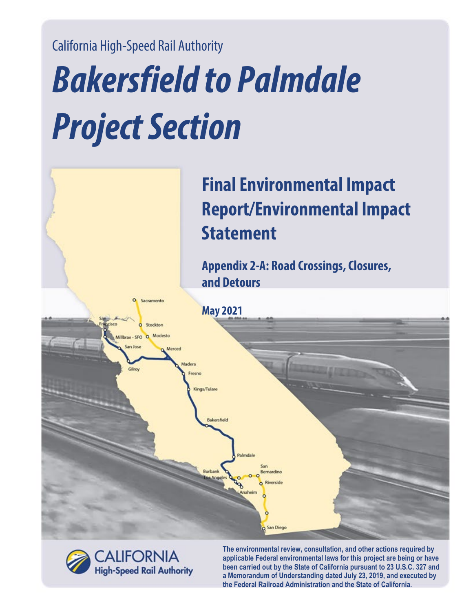California High-Speed Rail Authority

Sacramento

Stockton

# *Bakersfield to Palmdale Project Section*

**May 2021** 

# **Final Environmental Impact Report/Environmental Impact Statement**

**Appendix 2-A: Road Crossings, Closures, and Detours**

**CALIFORNIA High-Speed Rail Authority** 

 **The environmental review, consultation, and other actions required by applicable Federal environmental laws for this project are being or have been carried out by the State of California pursuant to 23 U.S.C. 327 and a Memorandum of Understanding dated July 23, 2019, and executed by the Federal Railroad Administration and the State of California.** 

San Diego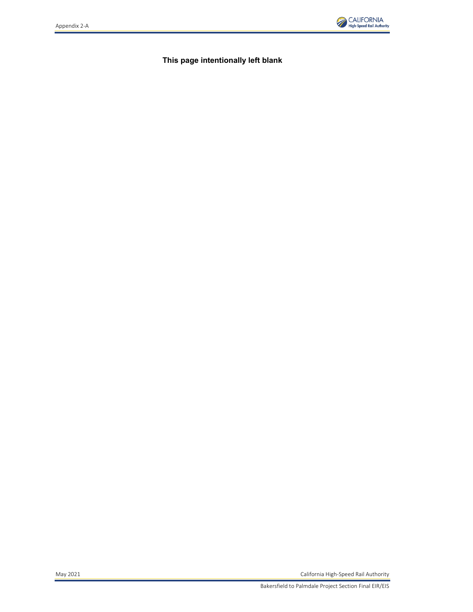

**This page intentionally left blank**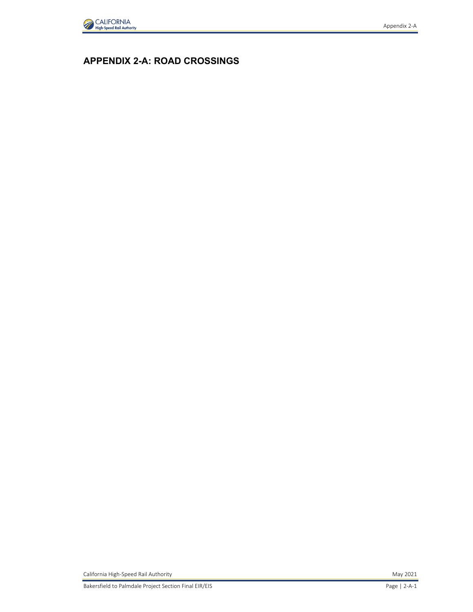

# **APPENDIX 2-A: ROAD CROSSINGS**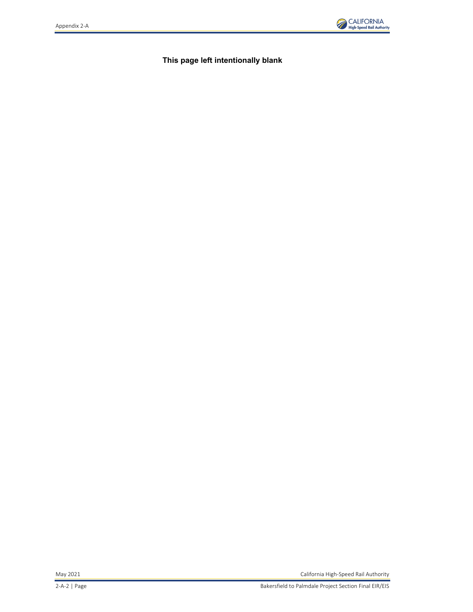

**This page left intentionally blank**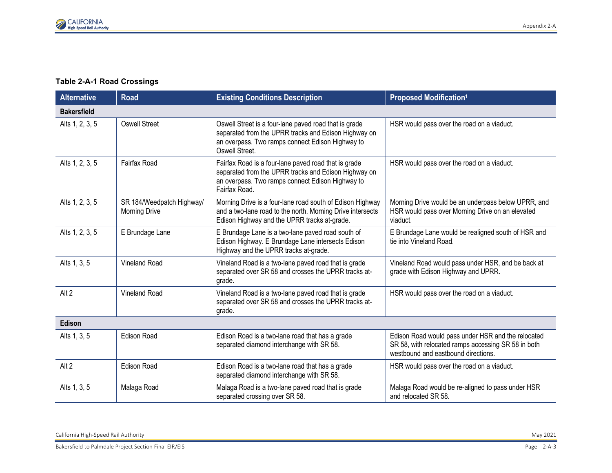**Table 2-A-1 Road Crossings** 

| <b>Alternative</b> | <b>Road</b>                                       | <b>Existing Conditions Description</b>                                                                                                                                              | <b>Proposed Modification1</b>                                                                                                                    |  |  |
|--------------------|---------------------------------------------------|-------------------------------------------------------------------------------------------------------------------------------------------------------------------------------------|--------------------------------------------------------------------------------------------------------------------------------------------------|--|--|
| <b>Bakersfield</b> |                                                   |                                                                                                                                                                                     |                                                                                                                                                  |  |  |
| Alts 1, 2, 3, 5    | <b>Oswell Street</b>                              | Oswell Street is a four-lane paved road that is grade<br>separated from the UPRR tracks and Edison Highway on<br>an overpass. Two ramps connect Edison Highway to<br>Oswell Street. | HSR would pass over the road on a viaduct.                                                                                                       |  |  |
| Alts 1, 2, 3, 5    | Fairfax Road                                      | Fairfax Road is a four-lane paved road that is grade<br>separated from the UPRR tracks and Edison Highway on<br>an overpass. Two ramps connect Edison Highway to<br>Fairfax Road.   | HSR would pass over the road on a viaduct.                                                                                                       |  |  |
| Alts 1, 2, 3, 5    | SR 184/Weedpatch Highway/<br><b>Morning Drive</b> | Morning Drive is a four-lane road south of Edison Highway<br>and a two-lane road to the north. Morning Drive intersects<br>Edison Highway and the UPRR tracks at-grade.             | Morning Drive would be an underpass below UPRR, and<br>HSR would pass over Morning Drive on an elevated<br>viaduct.                              |  |  |
| Alts 1, 2, 3, 5    | E Brundage Lane                                   | E Brundage Lane is a two-lane paved road south of<br>Edison Highway. E Brundage Lane intersects Edison<br>Highway and the UPRR tracks at-grade.                                     | E Brundage Lane would be realigned south of HSR and<br>tie into Vineland Road.                                                                   |  |  |
| Alts 1, 3, 5       | <b>Vineland Road</b>                              | Vineland Road is a two-lane paved road that is grade<br>separated over SR 58 and crosses the UPRR tracks at-<br>grade.                                                              | Vineland Road would pass under HSR, and be back at<br>grade with Edison Highway and UPRR.                                                        |  |  |
| Alt <sub>2</sub>   | Vineland Road                                     | Vineland Road is a two-lane paved road that is grade<br>separated over SR 58 and crosses the UPRR tracks at-<br>grade.                                                              | HSR would pass over the road on a viaduct.                                                                                                       |  |  |
| Edison             |                                                   |                                                                                                                                                                                     |                                                                                                                                                  |  |  |
| Alts 1, 3, 5       | <b>Edison Road</b>                                | Edison Road is a two-lane road that has a grade<br>separated diamond interchange with SR 58.                                                                                        | Edison Road would pass under HSR and the relocated<br>SR 58, with relocated ramps accessing SR 58 in both<br>westbound and eastbound directions. |  |  |
| Alt <sub>2</sub>   | <b>Edison Road</b>                                | Edison Road is a two-lane road that has a grade<br>separated diamond interchange with SR 58.                                                                                        | HSR would pass over the road on a viaduct.                                                                                                       |  |  |
| Alts 1, 3, 5       | Malaga Road                                       | Malaga Road is a two-lane paved road that is grade<br>separated crossing over SR 58.                                                                                                | Malaga Road would be re-aligned to pass under HSR<br>and relocated SR 58.                                                                        |  |  |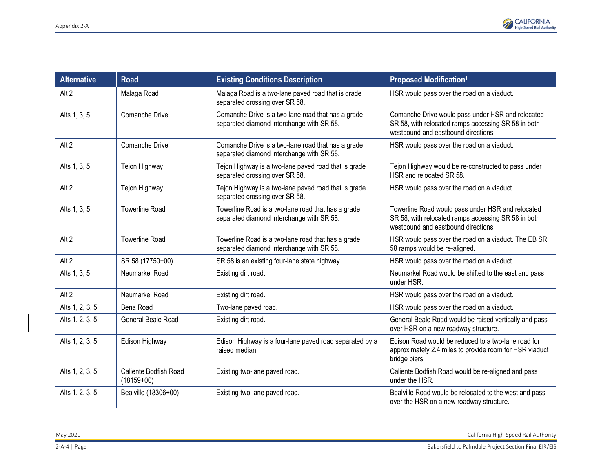

| <b>Alternative</b> | <b>Road</b>                           | <b>Existing Conditions Description</b>                                                          | <b>Proposed Modification<sup>1</sup></b>                                                                                                        |
|--------------------|---------------------------------------|-------------------------------------------------------------------------------------------------|-------------------------------------------------------------------------------------------------------------------------------------------------|
| Alt <sub>2</sub>   | Malaga Road                           | Malaga Road is a two-lane paved road that is grade<br>separated crossing over SR 58.            | HSR would pass over the road on a viaduct.                                                                                                      |
| Alts 1, 3, 5       | <b>Comanche Drive</b>                 | Comanche Drive is a two-lane road that has a grade<br>separated diamond interchange with SR 58. | Comanche Drive would pass under HSR and relocated<br>SR 58, with relocated ramps accessing SR 58 in both<br>westbound and eastbound directions. |
| Alt 2              | Comanche Drive                        | Comanche Drive is a two-lane road that has a grade<br>separated diamond interchange with SR 58. | HSR would pass over the road on a viaduct.                                                                                                      |
| Alts 1, 3, 5       | Tejon Highway                         | Tejon Highway is a two-lane paved road that is grade<br>separated crossing over SR 58.          | Tejon Highway would be re-constructed to pass under<br>HSR and relocated SR 58.                                                                 |
| Alt <sub>2</sub>   | Tejon Highway                         | Tejon Highway is a two-lane paved road that is grade<br>separated crossing over SR 58.          | HSR would pass over the road on a viaduct.                                                                                                      |
| Alts 1, 3, 5       | <b>Towerline Road</b>                 | Towerline Road is a two-lane road that has a grade<br>separated diamond interchange with SR 58. | Towerline Road would pass under HSR and relocated<br>SR 58, with relocated ramps accessing SR 58 in both<br>westbound and eastbound directions. |
| Alt 2              | <b>Towerline Road</b>                 | Towerline Road is a two-lane road that has a grade<br>separated diamond interchange with SR 58. | HSR would pass over the road on a viaduct. The EB SR<br>58 ramps would be re-aligned.                                                           |
| Alt 2              | SR 58 (17750+00)                      | SR 58 is an existing four-lane state highway.                                                   | HSR would pass over the road on a viaduct.                                                                                                      |
| Alts 1, 3, 5       | Neumarkel Road                        | Existing dirt road.                                                                             | Neumarkel Road would be shifted to the east and pass<br>under HSR.                                                                              |
| Alt <sub>2</sub>   | Neumarkel Road                        | Existing dirt road.                                                                             | HSR would pass over the road on a viaduct.                                                                                                      |
| Alts 1, 2, 3, 5    | Bena Road                             | Two-lane paved road.                                                                            | HSR would pass over the road on a viaduct.                                                                                                      |
| Alts 1, 2, 3, 5    | General Beale Road                    | Existing dirt road.                                                                             | General Beale Road would be raised vertically and pass<br>over HSR on a new roadway structure.                                                  |
| Alts 1, 2, 3, 5    | Edison Highway                        | Edison Highway is a four-lane paved road separated by a<br>raised median.                       | Edison Road would be reduced to a two-lane road for<br>approximately 2.4 miles to provide room for HSR viaduct<br>bridge piers.                 |
| Alts 1, 2, 3, 5    | Caliente Bodfish Road<br>$(18159+00)$ | Existing two-lane paved road.                                                                   | Caliente Bodfish Road would be re-aligned and pass<br>under the HSR.                                                                            |
| Alts 1, 2, 3, 5    | Bealville (18306+00)                  | Existing two-lane paved road.                                                                   | Bealville Road would be relocated to the west and pass<br>over the HSR on a new roadway structure.                                              |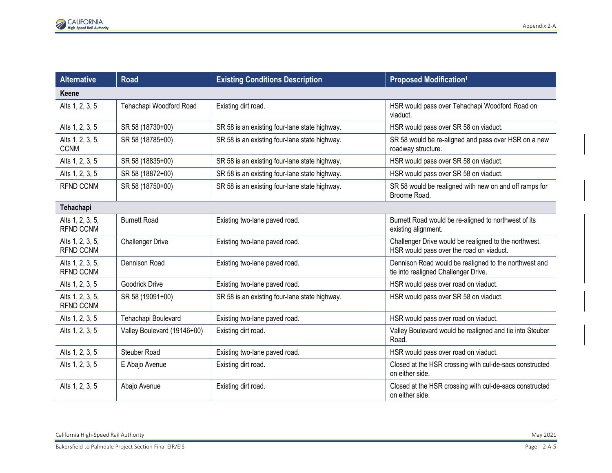| <b>Alternative</b>                   | <b>Road</b>                 | <b>Existing Conditions Description</b>        | <b>Proposed Modification<sup>1</sup></b>                                                          |  |
|--------------------------------------|-----------------------------|-----------------------------------------------|---------------------------------------------------------------------------------------------------|--|
| Keene                                |                             |                                               |                                                                                                   |  |
| Alts 1, 2, 3, 5                      | Tehachapi Woodford Road     | Existing dirt road.                           | HSR would pass over Tehachapi Woodford Road on<br>viaduct.                                        |  |
| Alts 1, 2, 3, 5                      | SR 58 (18730+00)            | SR 58 is an existing four-lane state highway. | HSR would pass over SR 58 on viaduct.                                                             |  |
| Alts 1, 2, 3, 5,<br><b>CCNM</b>      | SR 58 (18785+00)            | SR 58 is an existing four-lane state highway. | SR 58 would be re-aligned and pass over HSR on a new<br>roadway structure.                        |  |
| Alts 1, 2, 3, 5                      | SR 58 (18835+00)            | SR 58 is an existing four-lane state highway. | HSR would pass over SR 58 on viaduct.                                                             |  |
| Alts 1, 2, 3, 5                      | SR 58 (18872+00)            | SR 58 is an existing four-lane state highway. | HSR would pass over SR 58 on viaduct.                                                             |  |
| <b>RFND CCNM</b>                     | SR 58 (18750+00)            | SR 58 is an existing four-lane state highway. | SR 58 would be realigned with new on and off ramps for<br>Broome Road.                            |  |
| Tehachapi                            |                             |                                               |                                                                                                   |  |
| Alts 1, 2, 3, 5,<br><b>RFND CCNM</b> | <b>Burnett Road</b>         | Existing two-lane paved road.                 | Burnett Road would be re-aligned to northwest of its<br>existing alignment.                       |  |
| Alts 1, 2, 3, 5,<br><b>RFND CCNM</b> | <b>Challenger Drive</b>     | Existing two-lane paved road.                 | Challenger Drive would be realigned to the northwest.<br>HSR would pass over the road on viaduct. |  |
| Alts 1, 2, 3, 5,<br><b>RFND CCNM</b> | Dennison Road               | Existing two-lane paved road.                 | Dennison Road would be realigned to the northwest and<br>tie into realigned Challenger Drive.     |  |
| Alts 1, 2, 3, 5                      | Goodrick Drive              | Existing two-lane paved road.                 | HSR would pass over road on viaduct.                                                              |  |
| Alts 1, 2, 3, 5,<br><b>RFND CCNM</b> | SR 58 (19091+00)            | SR 58 is an existing four-lane state highway. | HSR would pass over SR 58 on viaduct.                                                             |  |
| Alts 1, 2, 3, 5                      | Tehachapi Boulevard         | Existing two-lane paved road.                 | HSR would pass over road on viaduct.                                                              |  |
| Alts 1, 2, 3, 5                      | Valley Boulevard (19146+00) | Existing dirt road.                           | Valley Boulevard would be realigned and tie into Steuber<br>Road.                                 |  |
| Alts 1, 2, 3, 5                      | <b>Steuber Road</b>         | Existing two-lane paved road.                 | HSR would pass over road on viaduct.                                                              |  |
| Alts 1, 2, 3, 5                      | E Abajo Avenue              | Existing dirt road.                           | Closed at the HSR crossing with cul-de-sacs constructed<br>on either side.                        |  |
| Alts 1, 2, 3, 5                      | Abajo Avenue                | Existing dirt road.                           | Closed at the HSR crossing with cul-de-sacs constructed<br>on either side.                        |  |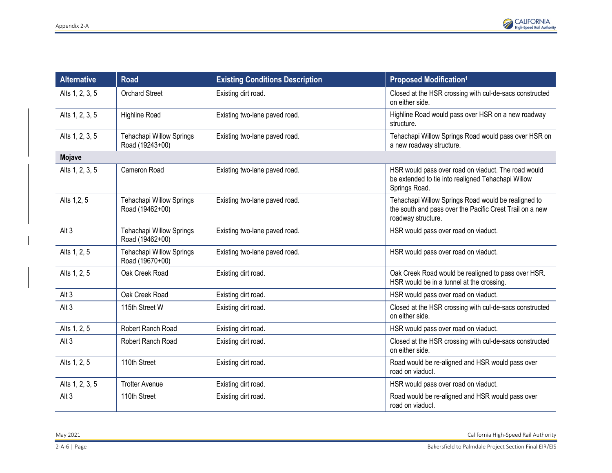| <b>Alternative</b> | <b>Road</b>                                 | <b>Existing Conditions Description</b> | <b>Proposed Modification1</b>                                                                                                         |  |
|--------------------|---------------------------------------------|----------------------------------------|---------------------------------------------------------------------------------------------------------------------------------------|--|
| Alts 1, 2, 3, 5    | <b>Orchard Street</b>                       | Existing dirt road.                    | Closed at the HSR crossing with cul-de-sacs constructed<br>on either side.                                                            |  |
| Alts 1, 2, 3, 5    | Highline Road                               | Existing two-lane paved road.          | Highline Road would pass over HSR on a new roadway<br>structure.                                                                      |  |
| Alts 1, 2, 3, 5    | Tehachapi Willow Springs<br>Road (19243+00) | Existing two-lane paved road.          | Tehachapi Willow Springs Road would pass over HSR on<br>a new roadway structure.                                                      |  |
| Mojave             |                                             |                                        |                                                                                                                                       |  |
| Alts 1, 2, 3, 5    | Cameron Road                                | Existing two-lane paved road.          | HSR would pass over road on viaduct. The road would<br>be extended to tie into realigned Tehachapi Willow<br>Springs Road.            |  |
| Alts 1,2, 5        | Tehachapi Willow Springs<br>Road (19462+00) | Existing two-lane paved road.          | Tehachapi Willow Springs Road would be realigned to<br>the south and pass over the Pacific Crest Trail on a new<br>roadway structure. |  |
| Alt <sub>3</sub>   | Tehachapi Willow Springs<br>Road (19462+00) | Existing two-lane paved road.          | HSR would pass over road on viaduct.                                                                                                  |  |
| Alts 1, 2, 5       | Tehachapi Willow Springs<br>Road (19670+00) | Existing two-lane paved road.          | HSR would pass over road on viaduct.                                                                                                  |  |
| Alts 1, 2, 5       | Oak Creek Road                              | Existing dirt road.                    | Oak Creek Road would be realigned to pass over HSR.<br>HSR would be in a tunnel at the crossing.                                      |  |
| Alt <sub>3</sub>   | Oak Creek Road                              | Existing dirt road.                    | HSR would pass over road on viaduct.                                                                                                  |  |
| Alt <sub>3</sub>   | 115th Street W                              | Existing dirt road.                    | Closed at the HSR crossing with cul-de-sacs constructed<br>on either side.                                                            |  |
| Alts 1, 2, 5       | Robert Ranch Road                           | Existing dirt road.                    | HSR would pass over road on viaduct.                                                                                                  |  |
| Alt <sub>3</sub>   | Robert Ranch Road                           | Existing dirt road.                    | Closed at the HSR crossing with cul-de-sacs constructed<br>on either side.                                                            |  |
| Alts 1, 2, 5       | 110th Street                                | Existing dirt road.                    | Road would be re-aligned and HSR would pass over<br>road on viaduct.                                                                  |  |
| Alts 1, 2, 3, 5    | <b>Trotter Avenue</b>                       | Existing dirt road.                    | HSR would pass over road on viaduct.                                                                                                  |  |
| Alt <sub>3</sub>   | 110th Street                                | Existing dirt road.                    | Road would be re-aligned and HSR would pass over<br>road on viaduct.                                                                  |  |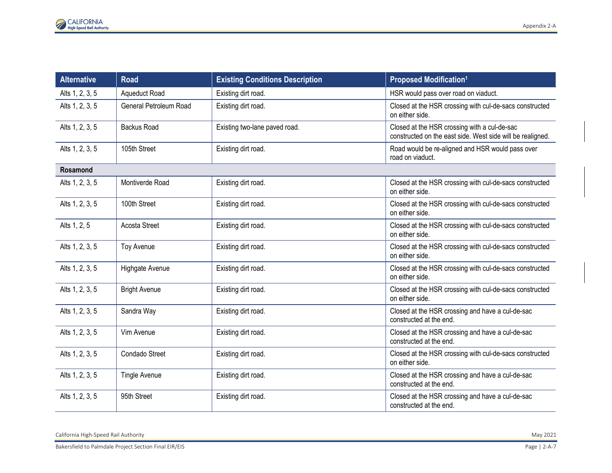| <b>Alternative</b> | <b>Road</b>            | <b>Existing Conditions Description</b> | <b>Proposed Modification<sup>1</sup></b>                                                                   |
|--------------------|------------------------|----------------------------------------|------------------------------------------------------------------------------------------------------------|
| Alts 1, 2, 3, 5    | Aqueduct Road          | Existing dirt road.                    | HSR would pass over road on viaduct.                                                                       |
| Alts 1, 2, 3, 5    | General Petroleum Road | Existing dirt road.                    | Closed at the HSR crossing with cul-de-sacs constructed<br>on either side.                                 |
| Alts 1, 2, 3, 5    | <b>Backus Road</b>     | Existing two-lane paved road.          | Closed at the HSR crossing with a cul-de-sac<br>constructed on the east side. West side will be realigned. |
| Alts 1, 2, 3, 5    | 105th Street           | Existing dirt road.                    | Road would be re-aligned and HSR would pass over<br>road on viaduct.                                       |
| Rosamond           |                        |                                        |                                                                                                            |
| Alts 1, 2, 3, 5    | Montiverde Road        | Existing dirt road.                    | Closed at the HSR crossing with cul-de-sacs constructed<br>on either side.                                 |
| Alts 1, 2, 3, 5    | 100th Street           | Existing dirt road.                    | Closed at the HSR crossing with cul-de-sacs constructed<br>on either side.                                 |
| Alts 1, 2, 5       | Acosta Street          | Existing dirt road.                    | Closed at the HSR crossing with cul-de-sacs constructed<br>on either side.                                 |
| Alts 1, 2, 3, 5    | <b>Toy Avenue</b>      | Existing dirt road.                    | Closed at the HSR crossing with cul-de-sacs constructed<br>on either side.                                 |
| Alts 1, 2, 3, 5    | Highgate Avenue        | Existing dirt road.                    | Closed at the HSR crossing with cul-de-sacs constructed<br>on either side.                                 |
| Alts 1, 2, 3, 5    | <b>Bright Avenue</b>   | Existing dirt road.                    | Closed at the HSR crossing with cul-de-sacs constructed<br>on either side.                                 |
| Alts 1, 2, 3, 5    | Sandra Way             | Existing dirt road.                    | Closed at the HSR crossing and have a cul-de-sac<br>constructed at the end.                                |
| Alts 1, 2, 3, 5    | Vim Avenue             | Existing dirt road.                    | Closed at the HSR crossing and have a cul-de-sac<br>constructed at the end.                                |
| Alts 1, 2, 3, 5    | Condado Street         | Existing dirt road.                    | Closed at the HSR crossing with cul-de-sacs constructed<br>on either side.                                 |
| Alts 1, 2, 3, 5    | Tingle Avenue          | Existing dirt road.                    | Closed at the HSR crossing and have a cul-de-sac<br>constructed at the end.                                |
| Alts 1, 2, 3, 5    | 95th Street            | Existing dirt road.                    | Closed at the HSR crossing and have a cul-de-sac<br>constructed at the end.                                |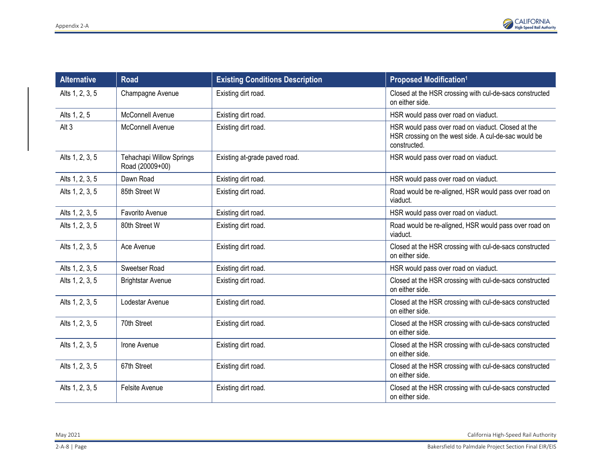| <b>Alternative</b> | Road                                        | <b>Existing Conditions Description</b> | <b>Proposed Modification1</b>                                                                                              |  |
|--------------------|---------------------------------------------|----------------------------------------|----------------------------------------------------------------------------------------------------------------------------|--|
| Alts 1, 2, 3, 5    | Champagne Avenue                            | Existing dirt road.                    | Closed at the HSR crossing with cul-de-sacs constructed<br>on either side.                                                 |  |
| Alts 1, 2, 5       | McConnell Avenue                            | Existing dirt road.                    | HSR would pass over road on viaduct.                                                                                       |  |
| Alt <sub>3</sub>   | McConnell Avenue                            | Existing dirt road.                    | HSR would pass over road on viaduct. Closed at the<br>HSR crossing on the west side. A cul-de-sac would be<br>constructed. |  |
| Alts 1, 2, 3, 5    | Tehachapi Willow Springs<br>Road (20009+00) | Existing at-grade paved road.          | HSR would pass over road on viaduct.                                                                                       |  |
| Alts 1, 2, 3, 5    | Dawn Road                                   | Existing dirt road.                    | HSR would pass over road on viaduct.                                                                                       |  |
| Alts 1, 2, 3, 5    | 85th Street W                               | Existing dirt road.                    | Road would be re-aligned, HSR would pass over road on<br>viaduct.                                                          |  |
| Alts 1, 2, 3, 5    | Favorito Avenue                             | Existing dirt road.                    | HSR would pass over road on viaduct.                                                                                       |  |
| Alts 1, 2, 3, 5    | 80th Street W                               | Existing dirt road.                    | Road would be re-aligned, HSR would pass over road on<br>viaduct.                                                          |  |
| Alts 1, 2, 3, 5    | Ace Avenue                                  | Existing dirt road.                    | Closed at the HSR crossing with cul-de-sacs constructed<br>on either side.                                                 |  |
| Alts 1, 2, 3, 5    | Sweetser Road                               | Existing dirt road.                    | HSR would pass over road on viaduct.                                                                                       |  |
| Alts 1, 2, 3, 5    | <b>Brightstar Avenue</b>                    | Existing dirt road.                    | Closed at the HSR crossing with cul-de-sacs constructed<br>on either side.                                                 |  |
| Alts 1, 2, 3, 5    | Lodestar Avenue                             | Existing dirt road.                    | Closed at the HSR crossing with cul-de-sacs constructed<br>on either side.                                                 |  |
| Alts 1, 2, 3, 5    | 70th Street                                 | Existing dirt road.                    | Closed at the HSR crossing with cul-de-sacs constructed<br>on either side.                                                 |  |
| Alts 1, 2, 3, 5    | Irone Avenue                                | Existing dirt road.                    | Closed at the HSR crossing with cul-de-sacs constructed<br>on either side.                                                 |  |
| Alts 1, 2, 3, 5    | 67th Street                                 | Existing dirt road.                    | Closed at the HSR crossing with cul-de-sacs constructed<br>on either side.                                                 |  |
| Alts 1, 2, 3, 5    | <b>Felsite Avenue</b>                       | Existing dirt road.                    | Closed at the HSR crossing with cul-de-sacs constructed<br>on either side.                                                 |  |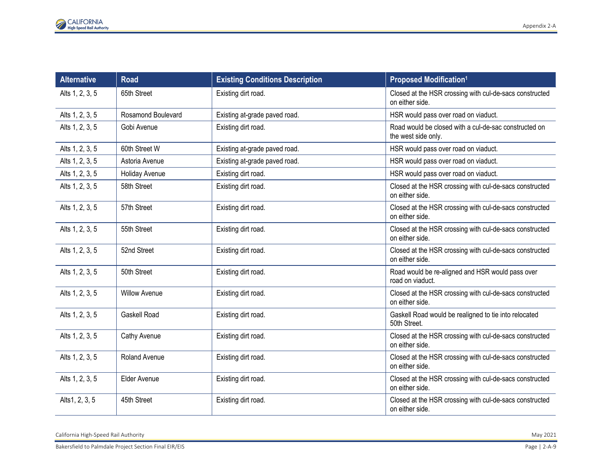| <b>Alternative</b> | <b>Road</b>           | <b>Existing Conditions Description</b> | <b>Proposed Modification<sup>1</sup></b>                                     |
|--------------------|-----------------------|----------------------------------------|------------------------------------------------------------------------------|
| Alts 1, 2, 3, 5    | 65th Street           | Existing dirt road.                    | Closed at the HSR crossing with cul-de-sacs constructed<br>on either side.   |
| Alts 1, 2, 3, 5    | Rosamond Boulevard    | Existing at-grade paved road.          | HSR would pass over road on viaduct.                                         |
| Alts 1, 2, 3, 5    | Gobi Avenue           | Existing dirt road.                    | Road would be closed with a cul-de-sac constructed on<br>the west side only. |
| Alts 1, 2, 3, 5    | 60th Street W         | Existing at-grade paved road.          | HSR would pass over road on viaduct.                                         |
| Alts 1, 2, 3, 5    | Astoria Avenue        | Existing at-grade paved road.          | HSR would pass over road on viaduct.                                         |
| Alts 1, 2, 3, 5    | <b>Holiday Avenue</b> | Existing dirt road.                    | HSR would pass over road on viaduct.                                         |
| Alts 1, 2, 3, 5    | 58th Street           | Existing dirt road.                    | Closed at the HSR crossing with cul-de-sacs constructed<br>on either side.   |
| Alts 1, 2, 3, 5    | 57th Street           | Existing dirt road.                    | Closed at the HSR crossing with cul-de-sacs constructed<br>on either side.   |
| Alts 1, 2, 3, 5    | 55th Street           | Existing dirt road.                    | Closed at the HSR crossing with cul-de-sacs constructed<br>on either side.   |
| Alts 1, 2, 3, 5    | 52nd Street           | Existing dirt road.                    | Closed at the HSR crossing with cul-de-sacs constructed<br>on either side.   |
| Alts 1, 2, 3, 5    | 50th Street           | Existing dirt road.                    | Road would be re-aligned and HSR would pass over<br>road on viaduct.         |
| Alts 1, 2, 3, 5    | <b>Willow Avenue</b>  | Existing dirt road.                    | Closed at the HSR crossing with cul-de-sacs constructed<br>on either side.   |
| Alts 1, 2, 3, 5    | Gaskell Road          | Existing dirt road.                    | Gaskell Road would be realigned to tie into relocated<br>50th Street.        |
| Alts 1, 2, 3, 5    | Cathy Avenue          | Existing dirt road.                    | Closed at the HSR crossing with cul-de-sacs constructed<br>on either side.   |
| Alts 1, 2, 3, 5    | Roland Avenue         | Existing dirt road.                    | Closed at the HSR crossing with cul-de-sacs constructed<br>on either side.   |
| Alts 1, 2, 3, 5    | Elder Avenue          | Existing dirt road.                    | Closed at the HSR crossing with cul-de-sacs constructed<br>on either side.   |
| Alts1, 2, 3, 5     | 45th Street           | Existing dirt road.                    | Closed at the HSR crossing with cul-de-sacs constructed<br>on either side.   |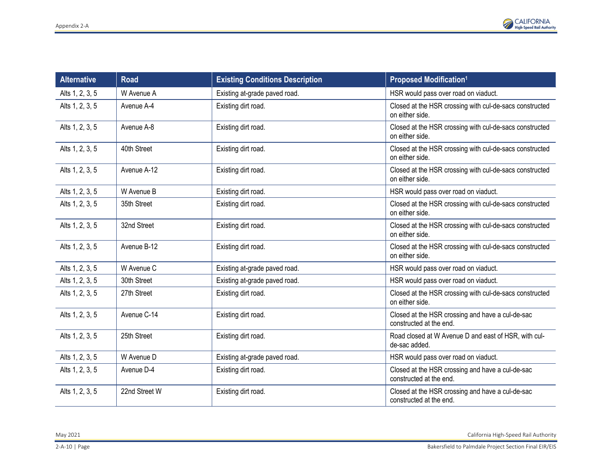

| <b>Alternative</b> | <b>Road</b>   | <b>Existing Conditions Description</b> | <b>Proposed Modification<sup>1</sup></b>                                    |
|--------------------|---------------|----------------------------------------|-----------------------------------------------------------------------------|
| Alts 1, 2, 3, 5    | W Avenue A    | Existing at-grade paved road.          | HSR would pass over road on viaduct.                                        |
| Alts 1, 2, 3, 5    | Avenue A-4    | Existing dirt road.                    | Closed at the HSR crossing with cul-de-sacs constructed<br>on either side.  |
| Alts 1, 2, 3, 5    | Avenue A-8    | Existing dirt road.                    | Closed at the HSR crossing with cul-de-sacs constructed<br>on either side.  |
| Alts 1, 2, 3, 5    | 40th Street   | Existing dirt road.                    | Closed at the HSR crossing with cul-de-sacs constructed<br>on either side.  |
| Alts 1, 2, 3, 5    | Avenue A-12   | Existing dirt road.                    | Closed at the HSR crossing with cul-de-sacs constructed<br>on either side.  |
| Alts 1, 2, 3, 5    | W Avenue B    | Existing dirt road.                    | HSR would pass over road on viaduct.                                        |
| Alts 1, 2, 3, 5    | 35th Street   | Existing dirt road.                    | Closed at the HSR crossing with cul-de-sacs constructed<br>on either side.  |
| Alts 1, 2, 3, 5    | 32nd Street   | Existing dirt road.                    | Closed at the HSR crossing with cul-de-sacs constructed<br>on either side.  |
| Alts 1, 2, 3, 5    | Avenue B-12   | Existing dirt road.                    | Closed at the HSR crossing with cul-de-sacs constructed<br>on either side.  |
| Alts 1, 2, 3, 5    | W Avenue C    | Existing at-grade paved road.          | HSR would pass over road on viaduct.                                        |
| Alts 1, 2, 3, 5    | 30th Street   | Existing at-grade paved road.          | HSR would pass over road on viaduct.                                        |
| Alts 1, 2, 3, 5    | 27th Street   | Existing dirt road.                    | Closed at the HSR crossing with cul-de-sacs constructed<br>on either side.  |
| Alts 1, 2, 3, 5    | Avenue C-14   | Existing dirt road.                    | Closed at the HSR crossing and have a cul-de-sac<br>constructed at the end. |
| Alts 1, 2, 3, 5    | 25th Street   | Existing dirt road.                    | Road closed at W Avenue D and east of HSR, with cul-<br>de-sac added.       |
| Alts 1, 2, 3, 5    | W Avenue D    | Existing at-grade paved road.          | HSR would pass over road on viaduct.                                        |
| Alts 1, 2, 3, 5    | Avenue D-4    | Existing dirt road.                    | Closed at the HSR crossing and have a cul-de-sac<br>constructed at the end. |
| Alts 1, 2, 3, 5    | 22nd Street W | Existing dirt road.                    | Closed at the HSR crossing and have a cul-de-sac<br>constructed at the end. |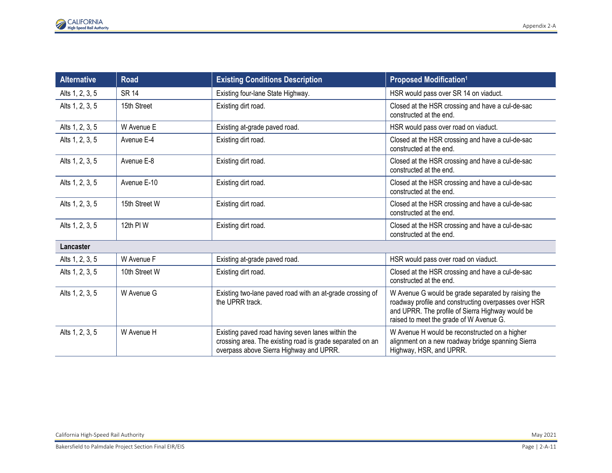| <b>Alternative</b> | <b>Road</b>   | <b>Existing Conditions Description</b>                                                                                                                    | <b>Proposed Modification<sup>1</sup></b>                                                                                                                                                                  |  |
|--------------------|---------------|-----------------------------------------------------------------------------------------------------------------------------------------------------------|-----------------------------------------------------------------------------------------------------------------------------------------------------------------------------------------------------------|--|
| Alts 1, 2, 3, 5    | <b>SR 14</b>  | Existing four-lane State Highway.                                                                                                                         | HSR would pass over SR 14 on viaduct.                                                                                                                                                                     |  |
| Alts 1, 2, 3, 5    | 15th Street   | Existing dirt road.                                                                                                                                       | Closed at the HSR crossing and have a cul-de-sac<br>constructed at the end.                                                                                                                               |  |
| Alts 1, 2, 3, 5    | W Avenue E    | Existing at-grade paved road.                                                                                                                             | HSR would pass over road on viaduct.                                                                                                                                                                      |  |
| Alts 1, 2, 3, 5    | Avenue E-4    | Existing dirt road.                                                                                                                                       | Closed at the HSR crossing and have a cul-de-sac<br>constructed at the end.                                                                                                                               |  |
| Alts 1, 2, 3, 5    | Avenue E-8    | Existing dirt road.                                                                                                                                       | Closed at the HSR crossing and have a cul-de-sac<br>constructed at the end.                                                                                                                               |  |
| Alts 1, 2, 3, 5    | Avenue E-10   | Existing dirt road.                                                                                                                                       | Closed at the HSR crossing and have a cul-de-sac<br>constructed at the end.                                                                                                                               |  |
| Alts 1, 2, 3, 5    | 15th Street W | Existing dirt road.                                                                                                                                       | Closed at the HSR crossing and have a cul-de-sac<br>constructed at the end.                                                                                                                               |  |
| Alts 1, 2, 3, 5    | 12th PIW      | Existing dirt road.                                                                                                                                       | Closed at the HSR crossing and have a cul-de-sac<br>constructed at the end.                                                                                                                               |  |
| Lancaster          |               |                                                                                                                                                           |                                                                                                                                                                                                           |  |
| Alts 1, 2, 3, 5    | W Avenue F    | Existing at-grade paved road.                                                                                                                             | HSR would pass over road on viaduct.                                                                                                                                                                      |  |
| Alts 1, 2, 3, 5    | 10th Street W | Existing dirt road.                                                                                                                                       | Closed at the HSR crossing and have a cul-de-sac<br>constructed at the end.                                                                                                                               |  |
| Alts 1, 2, 3, 5    | W Avenue G    | Existing two-lane paved road with an at-grade crossing of<br>the UPRR track.                                                                              | W Avenue G would be grade separated by raising the<br>roadway profile and constructing overpasses over HSR<br>and UPRR. The profile of Sierra Highway would be<br>raised to meet the grade of W Avenue G. |  |
| Alts 1, 2, 3, 5    | W Avenue H    | Existing paved road having seven lanes within the<br>crossing area. The existing road is grade separated on an<br>overpass above Sierra Highway and UPRR. | W Avenue H would be reconstructed on a higher<br>alignment on a new roadway bridge spanning Sierra<br>Highway, HSR, and UPRR.                                                                             |  |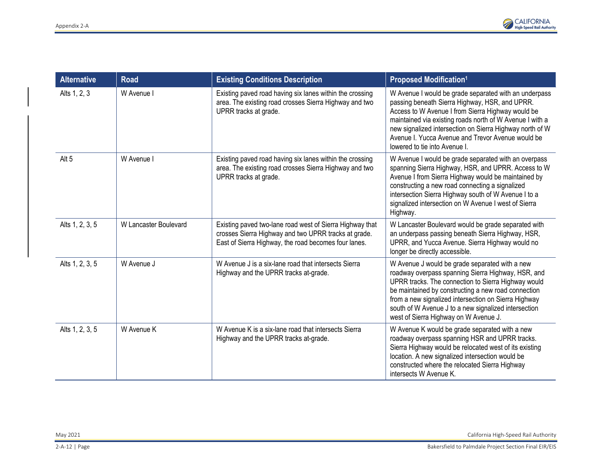| <b>Alternative</b> | <b>Road</b>           | <b>Existing Conditions Description</b>                                                                                                                                   | <b>Proposed Modification<sup>1</sup></b>                                                                                                                                                                                                                                                                                                                                    |
|--------------------|-----------------------|--------------------------------------------------------------------------------------------------------------------------------------------------------------------------|-----------------------------------------------------------------------------------------------------------------------------------------------------------------------------------------------------------------------------------------------------------------------------------------------------------------------------------------------------------------------------|
| Alts 1, 2, 3       | W Avenue I            | Existing paved road having six lanes within the crossing<br>area. The existing road crosses Sierra Highway and two<br>UPRR tracks at grade.                              | W Avenue I would be grade separated with an underpass<br>passing beneath Sierra Highway, HSR, and UPRR.<br>Access to W Avenue I from Sierra Highway would be<br>maintained via existing roads north of W Avenue I with a<br>new signalized intersection on Sierra Highway north of W<br>Avenue I. Yucca Avenue and Trevor Avenue would be<br>lowered to tie into Avenue I.  |
| Alt <sub>5</sub>   | W Avenue I            | Existing paved road having six lanes within the crossing<br>area. The existing road crosses Sierra Highway and two<br>UPRR tracks at grade.                              | W Avenue I would be grade separated with an overpass<br>spanning Sierra Highway, HSR, and UPRR. Access to W<br>Avenue I from Sierra Highway would be maintained by<br>constructing a new road connecting a signalized<br>intersection Sierra Highway south of W Avenue I to a<br>signalized intersection on W Avenue I west of Sierra<br>Highway.                           |
| Alts 1, 2, 3, 5    | W Lancaster Boulevard | Existing paved two-lane road west of Sierra Highway that<br>crosses Sierra Highway and two UPRR tracks at grade.<br>East of Sierra Highway, the road becomes four lanes. | W Lancaster Boulevard would be grade separated with<br>an underpass passing beneath Sierra Highway, HSR,<br>UPRR, and Yucca Avenue. Sierra Highway would no<br>longer be directly accessible.                                                                                                                                                                               |
| Alts 1, 2, 3, 5    | W Avenue J            | W Avenue J is a six-lane road that intersects Sierra<br>Highway and the UPRR tracks at-grade.                                                                            | W Avenue J would be grade separated with a new<br>roadway overpass spanning Sierra Highway, HSR, and<br>UPRR tracks. The connection to Sierra Highway would<br>be maintained by constructing a new road connection<br>from a new signalized intersection on Sierra Highway<br>south of W Avenue J to a new signalized intersection<br>west of Sierra Highway on W Avenue J. |
| Alts 1, 2, 3, 5    | W Avenue K            | W Avenue K is a six-lane road that intersects Sierra<br>Highway and the UPRR tracks at-grade.                                                                            | W Avenue K would be grade separated with a new<br>roadway overpass spanning HSR and UPRR tracks.<br>Sierra Highway would be relocated west of its existing<br>location. A new signalized intersection would be<br>constructed where the relocated Sierra Highway<br>intersects W Avenue K.                                                                                  |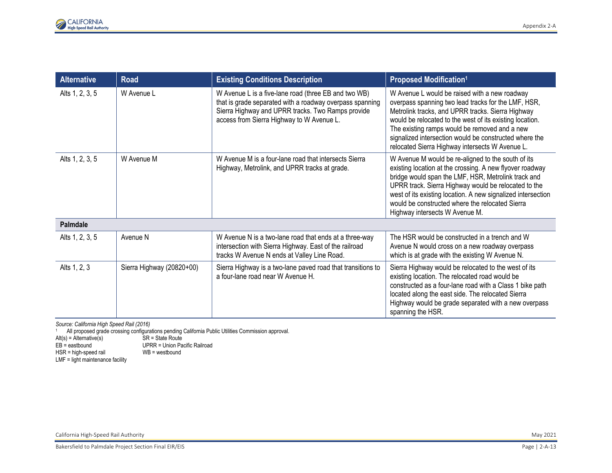<span id="page-14-0"></span>

| <b>Alternative</b> | <b>Road</b>               | <b>Existing Conditions Description</b>                                                                                                                                                                             | <b>Proposed Modification1</b>                                                                                                                                                                                                                                                                                                                                                       |
|--------------------|---------------------------|--------------------------------------------------------------------------------------------------------------------------------------------------------------------------------------------------------------------|-------------------------------------------------------------------------------------------------------------------------------------------------------------------------------------------------------------------------------------------------------------------------------------------------------------------------------------------------------------------------------------|
| Alts 1, 2, 3, 5    | W Avenue L                | W Avenue L is a five-lane road (three EB and two WB)<br>that is grade separated with a roadway overpass spanning<br>Sierra Highway and UPRR tracks. Two Ramps provide<br>access from Sierra Highway to W Avenue L. | W Avenue L would be raised with a new roadway<br>overpass spanning two lead tracks for the LMF, HSR,<br>Metrolink tracks, and UPRR tracks. Sierra Highway<br>would be relocated to the west of its existing location.<br>The existing ramps would be removed and a new<br>signalized intersection would be constructed where the<br>relocated Sierra Highway intersects W Avenue L. |
| Alts 1, 2, 3, 5    | W Avenue M                | W Avenue M is a four-lane road that intersects Sierra<br>Highway, Metrolink, and UPRR tracks at grade.                                                                                                             | W Avenue M would be re-aligned to the south of its<br>existing location at the crossing. A new flyover roadway<br>bridge would span the LMF, HSR, Metrolink track and<br>UPRR track. Sierra Highway would be relocated to the<br>west of its existing location. A new signalized intersection<br>would be constructed where the relocated Sierra<br>Highway intersects W Avenue M.  |
| Palmdale           |                           |                                                                                                                                                                                                                    |                                                                                                                                                                                                                                                                                                                                                                                     |
| Alts 1, 2, 3, 5    | Avenue N                  | W Avenue N is a two-lane road that ends at a three-way<br>intersection with Sierra Highway. East of the railroad<br>tracks W Avenue N ends at Valley Line Road.                                                    | The HSR would be constructed in a trench and W<br>Avenue N would cross on a new roadway overpass<br>which is at grade with the existing W Avenue N.                                                                                                                                                                                                                                 |
| Alts 1, 2, 3       | Sierra Highway (20820+00) | Sierra Highway is a two-lane paved road that transitions to<br>a four-lane road near W Avenue H.                                                                                                                   | Sierra Highway would be relocated to the west of its<br>existing location. The relocated road would be<br>constructed as a four-lane road with a Class 1 bike path<br>located along the east side. The relocated Sierra<br>Highway would be grade separated with a new overpass<br>spanning the HSR.                                                                                |

*Source: California High Speed Rail (2016)* 

All proposed grade crossing configurations pending California Public Utilities Commission approval.<br>
SR = State Route<br>
CR = State Route

 $Alt(s) = Altematic(s)$ <br>EB = eastbound

EB = eastbound UPRR = Union Pacific Railroad

HSR = high-speed rail WB = westbound

LMF = light maintenance facility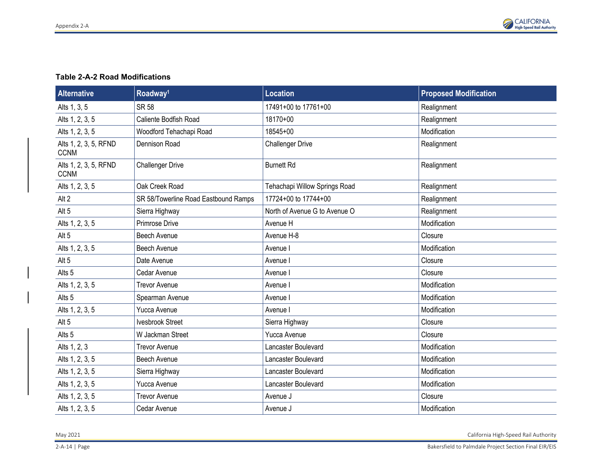

#### **Table 2-A-2 Road Modifications**

| <b>Alternative</b>                   | Roadway <sup>1</sup>                 | <b>Location</b>               | <b>Proposed Modification</b> |
|--------------------------------------|--------------------------------------|-------------------------------|------------------------------|
| Alts 1, 3, 5                         | <b>SR 58</b>                         | 17491+00 to 17761+00          | Realignment                  |
| Alts 1, 2, 3, 5                      | Caliente Bodfish Road                | 18170+00                      | Realignment                  |
| Alts 1, 2, 3, 5                      | Woodford Tehachapi Road              | 18545+00                      | Modification                 |
| Alts 1, 2, 3, 5, RFND<br><b>CCNM</b> | Dennison Road                        | <b>Challenger Drive</b>       | Realignment                  |
| Alts 1, 2, 3, 5, RFND<br><b>CCNM</b> | <b>Challenger Drive</b>              | <b>Burnett Rd</b>             | Realignment                  |
| Alts 1, 2, 3, 5                      | Oak Creek Road                       | Tehachapi Willow Springs Road | Realignment                  |
| Alt 2                                | SR 58/Towerline Road Eastbound Ramps | 17724+00 to 17744+00          | Realignment                  |
| Alt <sub>5</sub>                     | Sierra Highway                       | North of Avenue G to Avenue O | Realignment                  |
| Alts 1, 2, 3, 5                      | Primrose Drive                       | Avenue H                      | Modification                 |
| Alt 5                                | Beech Avenue                         | Avenue H-8                    | Closure                      |
| Alts 1, 2, 3, 5                      | Beech Avenue                         | Avenue I                      | Modification                 |
| Alt 5                                | Date Avenue                          | Avenue I                      | Closure                      |
| Alts <sub>5</sub>                    | Cedar Avenue                         | Avenue I                      | Closure                      |
| Alts 1, 2, 3, 5                      | <b>Trevor Avenue</b>                 | Avenue I                      | Modification                 |
| Alts <sub>5</sub>                    | Spearman Avenue                      | Avenue I                      | Modification                 |
| Alts 1, 2, 3, 5                      | Yucca Avenue                         | Avenue I                      | Modification                 |
| Alt 5                                | <b>Ivesbrook Street</b>              | Sierra Highway                | Closure                      |
| Alts <sub>5</sub>                    | W Jackman Street                     | Yucca Avenue                  | Closure                      |
| Alts 1, 2, 3                         | <b>Trevor Avenue</b>                 | Lancaster Boulevard           | Modification                 |
| Alts 1, 2, 3, 5                      | Beech Avenue                         | Lancaster Boulevard           | Modification                 |
| Alts 1, 2, 3, 5                      | Sierra Highway                       | Lancaster Boulevard           | Modification                 |
| Alts 1, 2, 3, 5                      | Yucca Avenue                         | Lancaster Boulevard           | Modification                 |
| Alts 1, 2, 3, 5                      | <b>Trevor Avenue</b>                 | Avenue J                      | Closure                      |
| Alts 1, 2, 3, 5                      | Cedar Avenue                         | Avenue J                      | Modification                 |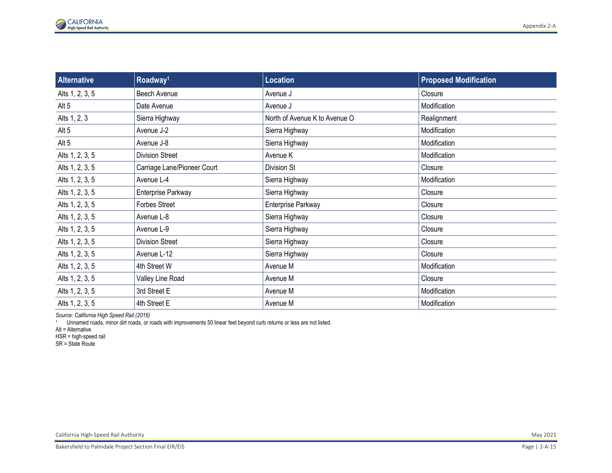<span id="page-16-0"></span>

| <b>Alternative</b> | Roadway <sup>1</sup>        | <b>Location</b>               | <b>Proposed Modification</b> |
|--------------------|-----------------------------|-------------------------------|------------------------------|
| Alts 1, 2, 3, 5    | Beech Avenue                | Avenue J                      | Closure                      |
| Alt 5              | Date Avenue                 | Avenue J                      | Modification                 |
| Alts 1, 2, 3       | Sierra Highway              | North of Avenue K to Avenue O | Realignment                  |
| Alt 5              | Avenue J-2                  | Sierra Highway                | Modification                 |
| Alt 5              | Avenue J-8                  | Sierra Highway                | Modification                 |
| Alts 1, 2, 3, 5    | <b>Division Street</b>      | Avenue K                      | Modification                 |
| Alts 1, 2, 3, 5    | Carriage Lane/Pioneer Court | Division St                   | Closure                      |
| Alts 1, 2, 3, 5    | Avenue L-4                  | Sierra Highway                | Modification                 |
| Alts 1, 2, 3, 5    | Enterprise Parkway          | Sierra Highway                | Closure                      |
| Alts 1, 2, 3, 5    | <b>Forbes Street</b>        | Enterprise Parkway            | Closure                      |
| Alts 1, 2, 3, 5    | Avenue L-8                  | Sierra Highway                | Closure                      |
| Alts 1, 2, 3, 5    | Avenue L-9                  | Sierra Highway                | Closure                      |
| Alts 1, 2, 3, 5    | <b>Division Street</b>      | Sierra Highway                | Closure                      |
| Alts 1, 2, 3, 5    | Avenue L-12                 | Sierra Highway                | Closure                      |
| Alts 1, 2, 3, 5    | 4th Street W                | Avenue M                      | Modification                 |
| Alts 1, 2, 3, 5    | Valley Line Road            | Avenue M                      | Closure                      |
| Alts 1, 2, 3, 5    | 3rd Street E                | Avenue M                      | Modification                 |
| Alts 1, 2, 3, 5    | 4th Street E                | Avenue M                      | Modification                 |

*Source: California High Speed Rail (2016)* 

<sup>1</sup> Unnamed roads, minor dirt roads, or roads with improvements 50 linear feet beyond curb returns or less are not listed.

Alt = Alternative

HSR = high-speed rail SR = State Route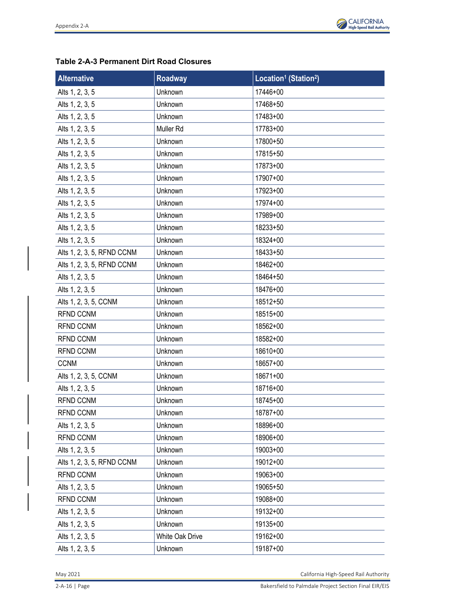

### **Table 2-A-3 Permanent Dirt Road Closures**

| <b>Alternative</b>         | <b>Roadway</b>  | Location <sup>1</sup> (Station <sup>2</sup> ) |
|----------------------------|-----------------|-----------------------------------------------|
| Alts 1, 2, 3, 5            | Unknown         | 17446+00                                      |
| Alts 1, 2, 3, 5            | Unknown         | 17468+50                                      |
| Alts 1, 2, 3, 5            | Unknown         | 17483+00                                      |
| Alts 1, 2, 3, 5            | Muller Rd       | 17783+00                                      |
| Alts 1, 2, 3, 5            | Unknown         | 17800+50                                      |
| Alts 1, 2, 3, 5            | Unknown         | 17815+50                                      |
| Alts 1, 2, 3, 5            | Unknown         | 17873+00                                      |
| Alts 1, 2, 3, 5            | Unknown         | 17907+00                                      |
| Alts 1, 2, 3, 5            | Unknown         | 17923+00                                      |
| Alts 1, 2, 3, 5            | Unknown         | 17974+00                                      |
| Alts 1, 2, 3, 5            | Unknown         | 17989+00                                      |
| Alts 1, 2, 3, 5            | Unknown         | 18233+50                                      |
| Alts 1, 2, 3, 5            | Unknown         | 18324+00                                      |
| Alts 1, 2, 3, 5, RFND CCNM | Unknown         | 18433+50                                      |
| Alts 1, 2, 3, 5, RFND CCNM | Unknown         | 18462+00                                      |
| Alts 1, 2, 3, 5            | Unknown         | 18464+50                                      |
| Alts 1, 2, 3, 5            | Unknown         | 18476+00                                      |
| Alts 1, 2, 3, 5, CCNM      | Unknown         | 18512+50                                      |
| <b>RFND CCNM</b>           | Unknown         | 18515+00                                      |
| <b>RFND CCNM</b>           | Unknown         | 18562+00                                      |
| <b>RFND CCNM</b>           | Unknown         | 18582+00                                      |
| <b>RFND CCNM</b>           | Unknown         | 18610+00                                      |
| <b>CCNM</b>                | Unknown         | 18657+00                                      |
| Alts 1, 2, 3, 5, CCNM      | Unknown         | 18671+00                                      |
| Alts 1, 2, 3, 5            | Unknown         | 18716+00                                      |
| <b>RFND CCNM</b>           | Unknown         | 18745+00                                      |
| <b>RFND CCNM</b>           | Unknown         | 18787+00                                      |
| Alts 1, 2, 3, 5            | Unknown         | 18896+00                                      |
| <b>RFND CCNM</b>           | Unknown         | 18906+00                                      |
| Alts 1, 2, 3, 5            | Unknown         | 19003+00                                      |
| Alts 1, 2, 3, 5, RFND CCNM | Unknown         | 19012+00                                      |
| <b>RFND CCNM</b>           | Unknown         | 19063+00                                      |
| Alts 1, 2, 3, 5            | Unknown         | 19065+50                                      |
| <b>RFND CCNM</b>           | Unknown         | 19088+00                                      |
| Alts 1, 2, 3, 5            | Unknown         | 19132+00                                      |
| Alts 1, 2, 3, 5            | Unknown         | 19135+00                                      |
| Alts 1, 2, 3, 5            | White Oak Drive | 19162+00                                      |
| Alts 1, 2, 3, 5            | Unknown         | 19187+00                                      |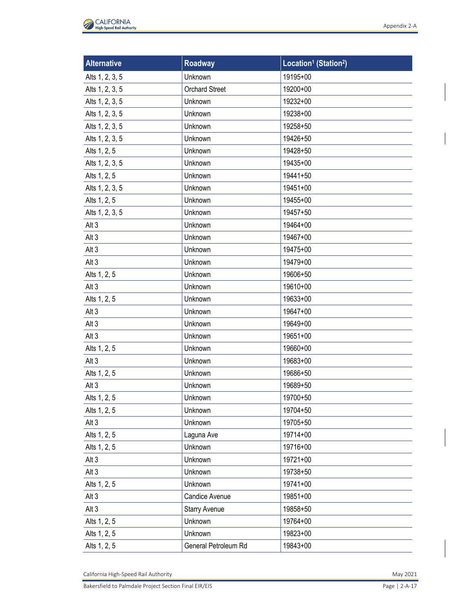

| <b>Alternative</b> | <b>Roadway</b>        | Location <sup>1</sup> (Station <sup>2</sup> ) |
|--------------------|-----------------------|-----------------------------------------------|
| Alts 1, 2, 3, 5    | Unknown               | 19195+00                                      |
| Alts 1, 2, 3, 5    | <b>Orchard Street</b> | 19200+00                                      |
| Alts 1, 2, 3, 5    | Unknown               | 19232+00                                      |
| Alts 1, 2, 3, 5    | Unknown               | 19238+00                                      |
| Alts 1, 2, 3, 5    | Unknown               | 19258+50                                      |
| Alts 1, 2, 3, 5    | Unknown               | 19426+50                                      |
| Alts 1, 2, 5       | Unknown               | 19428+50                                      |
| Alts 1, 2, 3, 5    | Unknown               | 19435+00                                      |
| Alts 1, 2, 5       | Unknown               | 19441+50                                      |
| Alts 1, 2, 3, 5    | Unknown               | 19451+00                                      |
| Alts 1, 2, 5       | Unknown               | 19455+00                                      |
| Alts 1, 2, 3, 5    | Unknown               | 19457+50                                      |
| Alt <sub>3</sub>   | Unknown               | 19464+00                                      |
| Alt <sub>3</sub>   | Unknown               | 19467+00                                      |
| Alt <sub>3</sub>   | Unknown               | 19475+00                                      |
| Alt <sub>3</sub>   | Unknown               | 19479+00                                      |
| Alts 1, 2, 5       | Unknown               | 19606+50                                      |
| Alt <sub>3</sub>   | Unknown               | 19610+00                                      |
| Alts 1, 2, 5       | Unknown               | 19633+00                                      |
| Alt <sub>3</sub>   | Unknown               | 19647+00                                      |
| Alt <sub>3</sub>   | Unknown               | 19649+00                                      |
| Alt <sub>3</sub>   | Unknown               | 19651+00                                      |
| Alts 1, 2, 5       | Unknown               | 19660+00                                      |
| Alt <sub>3</sub>   | Unknown               | 19683+00                                      |
| Alts 1, 2, 5       | Unknown               | 19686+50                                      |
| Alt <sub>3</sub>   | Unknown               | 19689+50                                      |
| Alts 1, 2, 5       | Unknown               | 19700+50                                      |
| Alts 1, 2, 5       | Unknown               | 19704+50                                      |
| Alt <sub>3</sub>   | Unknown               | 19705+50                                      |
| Alts 1, 2, 5       | Laguna Ave            | 19714+00                                      |
| Alts 1, 2, 5       | Unknown               | 19716+00                                      |
| Alt $3$            | Unknown               | 19721+00                                      |
| Alt <sub>3</sub>   | Unknown               | 19738+50                                      |
| Alts 1, 2, 5       | Unknown               | 19741+00                                      |
| Alt 3              | Candice Avenue        | 19851+00                                      |
| Alt <sub>3</sub>   | <b>Starry Avenue</b>  | 19858+50                                      |
| Alts 1, 2, 5       | Unknown               | 19764+00                                      |
| Alts 1, 2, 5       | Unknown               | 19823+00                                      |
| Alts 1, 2, 5       | General Petroleum Rd  | 19843+00                                      |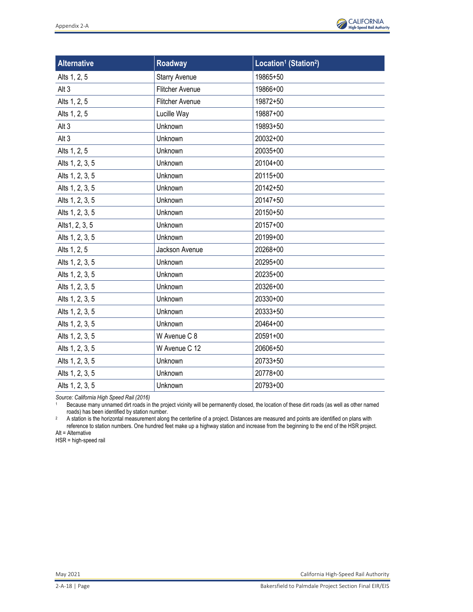

<span id="page-19-0"></span>

| <b>Alternative</b> | <b>Roadway</b>         | Location <sup>1</sup> (Station <sup>2</sup> ) |
|--------------------|------------------------|-----------------------------------------------|
| Alts 1, 2, 5       | <b>Starry Avenue</b>   | 19865+50                                      |
| Alt <sub>3</sub>   | <b>Flitcher Avenue</b> | 19866+00                                      |
| Alts 1, 2, 5       | <b>Flitcher Avenue</b> | 19872+50                                      |
| Alts 1, 2, 5       | Lucille Way            | 19887+00                                      |
| Alt <sub>3</sub>   | Unknown                | 19893+50                                      |
| Alt <sub>3</sub>   | Unknown                | 20032+00                                      |
| Alts 1, 2, 5       | Unknown                | 20035+00                                      |
| Alts 1, 2, 3, 5    | Unknown                | 20104+00                                      |
| Alts 1, 2, 3, 5    | Unknown                | 20115+00                                      |
| Alts 1, 2, 3, 5    | Unknown                | 20142+50                                      |
| Alts 1, 2, 3, 5    | Unknown                | 20147+50                                      |
| Alts 1, 2, 3, 5    | Unknown                | 20150+50                                      |
| Alts1, 2, 3, 5     | Unknown                | 20157+00                                      |
| Alts 1, 2, 3, 5    | Unknown                | 20199+00                                      |
| Alts 1, 2, 5       | Jackson Avenue         | 20268+00                                      |
| Alts 1, 2, 3, 5    | Unknown                | 20295+00                                      |
| Alts 1, 2, 3, 5    | Unknown                | 20235+00                                      |
| Alts 1, 2, 3, 5    | Unknown                | 20326+00                                      |
| Alts 1, 2, 3, 5    | Unknown                | 20330+00                                      |
| Alts 1, 2, 3, 5    | Unknown                | 20333+50                                      |
| Alts 1, 2, 3, 5    | Unknown                | 20464+00                                      |
| Alts 1, 2, 3, 5    | W Avenue C 8           | 20591+00                                      |
| Alts 1, 2, 3, 5    | W Avenue C 12          | 20606+50                                      |
| Alts 1, 2, 3, 5    | Unknown                | 20733+50                                      |
| Alts 1, 2, 3, 5    | Unknown                | 20778+00                                      |
| Alts 1, 2, 3, 5    | Unknown                | 20793+00                                      |

*Source: California High Speed Rail (2016)* 

Because many unnamed dirt roads in the project vicinity will be permanently closed, the location of these dirt roads (as well as other named roads) has been identified by station number.

 reference to station numbers. One hundred feet make up a highway station and increase from the beginning to the end of the HSR project. Alt = Alternative <sup>2</sup> A station is the horizontal measurement along the centerline of a project. Distances are measured and points are identified on plans with

Alt = Alternative<br>HSR = high-speed rail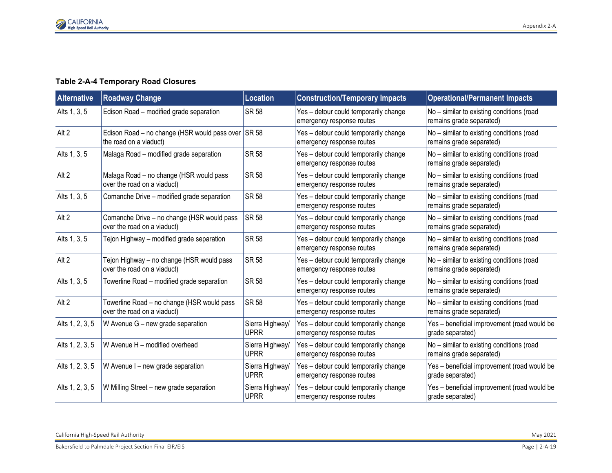## **Table 2-A-4 Temporary Road Closures**

| <b>Alternative</b> | <b>Roadway Change</b>                                                        | <b>Location</b>                | <b>Construction/Temporary Impacts</b>                              | <b>Operational/Permanent Impacts</b>                                  |
|--------------------|------------------------------------------------------------------------------|--------------------------------|--------------------------------------------------------------------|-----------------------------------------------------------------------|
| Alts 1, 3, 5       | Edison Road - modified grade separation                                      | <b>SR 58</b>                   | Yes - detour could temporarily change<br>emergency response routes | No – similar to existing conditions (road<br>remains grade separated) |
| Alt <sub>2</sub>   | Edison Road - no change (HSR would pass over SR 58<br>the road on a viaduct) |                                | Yes - detour could temporarily change<br>emergency response routes | No - similar to existing conditions (road<br>remains grade separated) |
| Alts 1, 3, 5       | Malaga Road - modified grade separation                                      | <b>SR 58</b>                   | Yes - detour could temporarily change<br>emergency response routes | No - similar to existing conditions (road<br>remains grade separated) |
| Alt <sub>2</sub>   | Malaga Road - no change (HSR would pass<br>over the road on a viaduct)       | <b>SR 58</b>                   | Yes - detour could temporarily change<br>emergency response routes | No - similar to existing conditions (road<br>remains grade separated) |
| Alts 1, 3, 5       | Comanche Drive - modified grade separation                                   | <b>SR 58</b>                   | Yes - detour could temporarily change<br>emergency response routes | No - similar to existing conditions (road<br>remains grade separated) |
| Alt <sub>2</sub>   | Comanche Drive - no change (HSR would pass<br>over the road on a viaduct)    | <b>SR 58</b>                   | Yes - detour could temporarily change<br>emergency response routes | No - similar to existing conditions (road<br>remains grade separated) |
| Alts 1, 3, 5       | Tejon Highway - modified grade separation                                    | <b>SR 58</b>                   | Yes - detour could temporarily change<br>emergency response routes | No - similar to existing conditions (road<br>remains grade separated) |
| Alt 2              | Tejon Highway – no change (HSR would pass<br>over the road on a viaduct)     | <b>SR 58</b>                   | Yes - detour could temporarily change<br>emergency response routes | No - similar to existing conditions (road<br>remains grade separated) |
| Alts 1, 3, 5       | Towerline Road - modified grade separation                                   | <b>SR 58</b>                   | Yes - detour could temporarily change<br>emergency response routes | No - similar to existing conditions (road<br>remains grade separated) |
| Alt 2              | Towerline Road - no change (HSR would pass<br>over the road on a viaduct)    | <b>SR 58</b>                   | Yes - detour could temporarily change<br>emergency response routes | No - similar to existing conditions (road<br>remains grade separated) |
| Alts 1, 2, 3, 5    | W Avenue G - new grade separation                                            | Sierra Highway/<br><b>UPRR</b> | Yes - detour could temporarily change<br>emergency response routes | Yes - beneficial improvement (road would be<br>grade separated)       |
| Alts 1, 2, 3, 5    | W Avenue H - modified overhead                                               | Sierra Highway/<br><b>UPRR</b> | Yes - detour could temporarily change<br>emergency response routes | No – similar to existing conditions (road<br>remains grade separated) |
| Alts 1, 2, 3, 5    | W Avenue I - new grade separation                                            | Sierra Highway/<br><b>UPRR</b> | Yes - detour could temporarily change<br>emergency response routes | Yes - beneficial improvement (road would be<br>grade separated)       |
| Alts 1, 2, 3, 5    | W Milling Street - new grade separation                                      | Sierra Highway/<br><b>UPRR</b> | Yes - detour could temporarily change<br>emergency response routes | Yes - beneficial improvement (road would be<br>grade separated)       |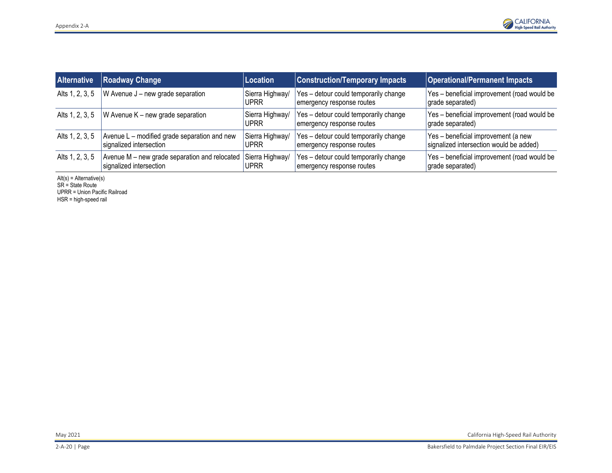| <b>Alternative</b> | <b>Roadway Change</b>                                                      | <b>Location</b>         | <b>Construction/Temporary Impacts</b>                              | <b>Operational/Permanent Impacts</b>                                           |
|--------------------|----------------------------------------------------------------------------|-------------------------|--------------------------------------------------------------------|--------------------------------------------------------------------------------|
| Alts 1, 2, 3, 5    | W Avenue J - new grade separation                                          | Sierra Highway/<br>UPRR | Yes - detour could temporarily change<br>emergency response routes | Yes - beneficial improvement (road would be<br>grade separated)                |
| Alts 1, 2, 3, 5    | W Avenue K - new grade separation                                          | Sierra Highway/<br>UPRR | Yes - detour could temporarily change<br>emergency response routes | Yes - beneficial improvement (road would be<br>grade separated)                |
| Alts 1, 2, 3, 5    | Avenue L – modified grade separation and new<br>signalized intersection    | Sierra Highway/<br>UPRR | Yes - detour could temporarily change<br>emergency response routes | Yes - beneficial improvement (a new<br>signalized intersection would be added) |
| Alts 1, 2, 3, 5    | Avenue M - new grade separation and relocated  <br>signalized intersection | Sierra Highway/<br>UPRR | Yes - detour could temporarily change<br>emergency response routes | Yes - beneficial improvement (road would be<br>grade separated)                |

Alt(s) = Alternative(s) SR = State Route

UPRR = Union Pacific Railroad

HSR = high-speed rail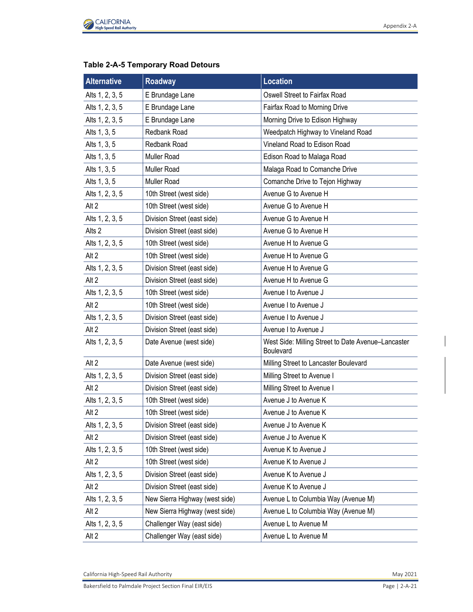

# **Table 2-A-5 Temporary Road Detours**

| <b>Alternative</b> | <b>Roadway</b>                 | <b>Location</b>                                                 |
|--------------------|--------------------------------|-----------------------------------------------------------------|
| Alts 1, 2, 3, 5    | E Brundage Lane                | Oswell Street to Fairfax Road                                   |
| Alts 1, 2, 3, 5    | E Brundage Lane                | Fairfax Road to Morning Drive                                   |
| Alts 1, 2, 3, 5    | E Brundage Lane                | Morning Drive to Edison Highway                                 |
| Alts 1, 3, 5       | Redbank Road                   | Weedpatch Highway to Vineland Road                              |
| Alts 1, 3, 5       | Redbank Road                   | Vineland Road to Edison Road                                    |
| Alts 1, 3, 5       | Muller Road                    | Edison Road to Malaga Road                                      |
| Alts 1, 3, 5       | Muller Road                    | Malaga Road to Comanche Drive                                   |
| Alts 1, 3, 5       | Muller Road                    | Comanche Drive to Tejon Highway                                 |
| Alts 1, 2, 3, 5    | 10th Street (west side)        | Avenue G to Avenue H                                            |
| Alt 2              | 10th Street (west side)        | Avenue G to Avenue H                                            |
| Alts 1, 2, 3, 5    | Division Street (east side)    | Avenue G to Avenue H                                            |
| Alts 2             | Division Street (east side)    | Avenue G to Avenue H                                            |
| Alts 1, 2, 3, 5    | 10th Street (west side)        | Avenue H to Avenue G                                            |
| Alt 2              | 10th Street (west side)        | Avenue H to Avenue G                                            |
| Alts 1, 2, 3, 5    | Division Street (east side)    | Avenue H to Avenue G                                            |
| Alt 2              | Division Street (east side)    | Avenue H to Avenue G                                            |
| Alts 1, 2, 3, 5    | 10th Street (west side)        | Avenue I to Avenue J                                            |
| Alt 2              | 10th Street (west side)        | Avenue I to Avenue J                                            |
| Alts 1, 2, 3, 5    | Division Street (east side)    | Avenue I to Avenue J                                            |
| Alt 2              | Division Street (east side)    | Avenue I to Avenue J                                            |
| Alts 1, 2, 3, 5    | Date Avenue (west side)        | West Side: Milling Street to Date Avenue-Lancaster<br>Boulevard |
| Alt 2              | Date Avenue (west side)        | Milling Street to Lancaster Boulevard                           |
| Alts 1, 2, 3, 5    | Division Street (east side)    | Milling Street to Avenue I                                      |
| Alt 2              | Division Street (east side)    | Milling Street to Avenue I                                      |
| Alts 1, 2, 3, 5    | 10th Street (west side)        | Avenue J to Avenue K                                            |
| Alt 2              | 10th Street (west side)        | Avenue J to Avenue K                                            |
| Alts 1, 2, 3, 5    | Division Street (east side)    | Avenue J to Avenue K                                            |
| Alt 2              | Division Street (east side)    | Avenue J to Avenue K                                            |
| Alts 1, 2, 3, 5    | 10th Street (west side)        | Avenue K to Avenue J                                            |
| Alt 2              | 10th Street (west side)        | Avenue K to Avenue J                                            |
| Alts 1, 2, 3, 5    | Division Street (east side)    | Avenue K to Avenue J                                            |
| Alt 2              | Division Street (east side)    | Avenue K to Avenue J                                            |
| Alts 1, 2, 3, 5    | New Sierra Highway (west side) | Avenue L to Columbia Way (Avenue M)                             |
| Alt 2              | New Sierra Highway (west side) | Avenue L to Columbia Way (Avenue M)                             |
| Alts 1, 2, 3, 5    | Challenger Way (east side)     | Avenue L to Avenue M                                            |
| Alt 2              | Challenger Way (east side)     | Avenue L to Avenue M                                            |